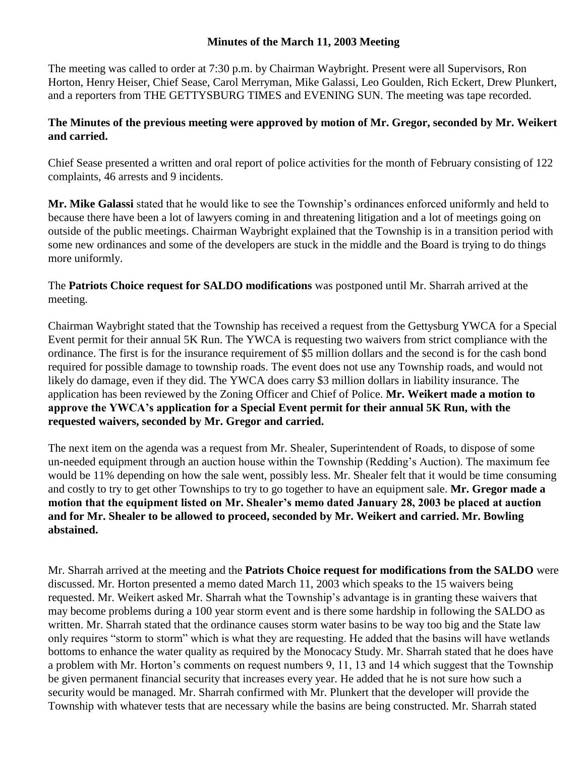## **Minutes of the March 11, 2003 Meeting**

The meeting was called to order at 7:30 p.m. by Chairman Waybright. Present were all Supervisors, Ron Horton, Henry Heiser, Chief Sease, Carol Merryman, Mike Galassi, Leo Goulden, Rich Eckert, Drew Plunkert, and a reporters from THE GETTYSBURG TIMES and EVENING SUN. The meeting was tape recorded.

## **The Minutes of the previous meeting were approved by motion of Mr. Gregor, seconded by Mr. Weikert and carried.**

Chief Sease presented a written and oral report of police activities for the month of February consisting of 122 complaints, 46 arrests and 9 incidents.

**Mr. Mike Galassi** stated that he would like to see the Township's ordinances enforced uniformly and held to because there have been a lot of lawyers coming in and threatening litigation and a lot of meetings going on outside of the public meetings. Chairman Waybright explained that the Township is in a transition period with some new ordinances and some of the developers are stuck in the middle and the Board is trying to do things more uniformly.

The **Patriots Choice request for SALDO modifications** was postponed until Mr. Sharrah arrived at the meeting.

Chairman Waybright stated that the Township has received a request from the Gettysburg YWCA for a Special Event permit for their annual 5K Run. The YWCA is requesting two waivers from strict compliance with the ordinance. The first is for the insurance requirement of \$5 million dollars and the second is for the cash bond required for possible damage to township roads. The event does not use any Township roads, and would not likely do damage, even if they did. The YWCA does carry \$3 million dollars in liability insurance. The application has been reviewed by the Zoning Officer and Chief of Police. **Mr. Weikert made a motion to approve the YWCA's application for a Special Event permit for their annual 5K Run, with the requested waivers, seconded by Mr. Gregor and carried.** 

The next item on the agenda was a request from Mr. Shealer, Superintendent of Roads, to dispose of some un-needed equipment through an auction house within the Township (Redding's Auction). The maximum fee would be 11% depending on how the sale went, possibly less. Mr. Shealer felt that it would be time consuming and costly to try to get other Townships to try to go together to have an equipment sale. **Mr. Gregor made a motion that the equipment listed on Mr. Shealer's memo dated January 28, 2003 be placed at auction and for Mr. Shealer to be allowed to proceed, seconded by Mr. Weikert and carried. Mr. Bowling abstained.** 

Mr. Sharrah arrived at the meeting and the **Patriots Choice request for modifications from the SALDO** were discussed. Mr. Horton presented a memo dated March 11, 2003 which speaks to the 15 waivers being requested. Mr. Weikert asked Mr. Sharrah what the Township's advantage is in granting these waivers that may become problems during a 100 year storm event and is there some hardship in following the SALDO as written. Mr. Sharrah stated that the ordinance causes storm water basins to be way too big and the State law only requires "storm to storm" which is what they are requesting. He added that the basins will have wetlands bottoms to enhance the water quality as required by the Monocacy Study. Mr. Sharrah stated that he does have a problem with Mr. Horton's comments on request numbers 9, 11, 13 and 14 which suggest that the Township be given permanent financial security that increases every year. He added that he is not sure how such a security would be managed. Mr. Sharrah confirmed with Mr. Plunkert that the developer will provide the Township with whatever tests that are necessary while the basins are being constructed. Mr. Sharrah stated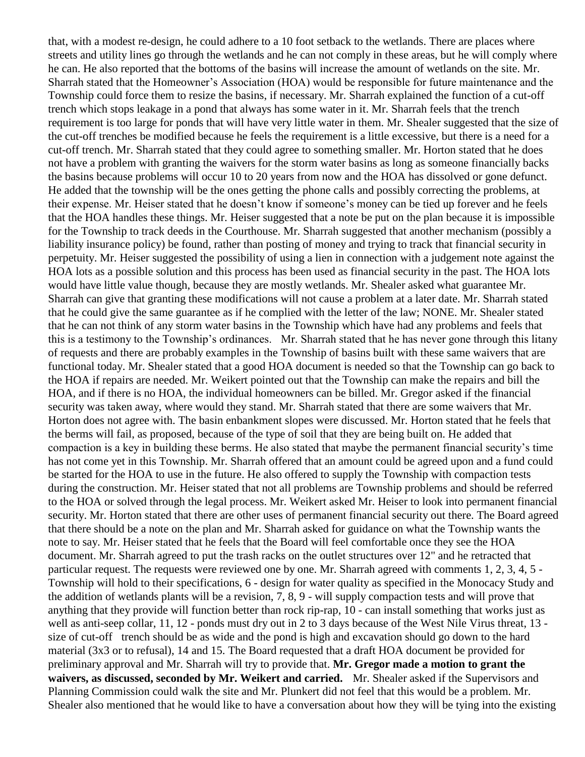that, with a modest re-design, he could adhere to a 10 foot setback to the wetlands. There are places where streets and utility lines go through the wetlands and he can not comply in these areas, but he will comply where he can. He also reported that the bottoms of the basins will increase the amount of wetlands on the site. Mr. Sharrah stated that the Homeowner's Association (HOA) would be responsible for future maintenance and the Township could force them to resize the basins, if necessary. Mr. Sharrah explained the function of a cut-off trench which stops leakage in a pond that always has some water in it. Mr. Sharrah feels that the trench requirement is too large for ponds that will have very little water in them. Mr. Shealer suggested that the size of the cut-off trenches be modified because he feels the requirement is a little excessive, but there is a need for a cut-off trench. Mr. Sharrah stated that they could agree to something smaller. Mr. Horton stated that he does not have a problem with granting the waivers for the storm water basins as long as someone financially backs the basins because problems will occur 10 to 20 years from now and the HOA has dissolved or gone defunct. He added that the township will be the ones getting the phone calls and possibly correcting the problems, at their expense. Mr. Heiser stated that he doesn't know if someone's money can be tied up forever and he feels that the HOA handles these things. Mr. Heiser suggested that a note be put on the plan because it is impossible for the Township to track deeds in the Courthouse. Mr. Sharrah suggested that another mechanism (possibly a liability insurance policy) be found, rather than posting of money and trying to track that financial security in perpetuity. Mr. Heiser suggested the possibility of using a lien in connection with a judgement note against the HOA lots as a possible solution and this process has been used as financial security in the past. The HOA lots would have little value though, because they are mostly wetlands. Mr. Shealer asked what guarantee Mr. Sharrah can give that granting these modifications will not cause a problem at a later date. Mr. Sharrah stated that he could give the same guarantee as if he complied with the letter of the law; NONE. Mr. Shealer stated that he can not think of any storm water basins in the Township which have had any problems and feels that this is a testimony to the Township's ordinances. Mr. Sharrah stated that he has never gone through this litany of requests and there are probably examples in the Township of basins built with these same waivers that are functional today. Mr. Shealer stated that a good HOA document is needed so that the Township can go back to the HOA if repairs are needed. Mr. Weikert pointed out that the Township can make the repairs and bill the HOA, and if there is no HOA, the individual homeowners can be billed. Mr. Gregor asked if the financial security was taken away, where would they stand. Mr. Sharrah stated that there are some waivers that Mr. Horton does not agree with. The basin enbankment slopes were discussed. Mr. Horton stated that he feels that the berms will fail, as proposed, because of the type of soil that they are being built on. He added that compaction is a key in building these berms. He also stated that maybe the permanent financial security's time has not come yet in this Township. Mr. Sharrah offered that an amount could be agreed upon and a fund could be started for the HOA to use in the future. He also offered to supply the Township with compaction tests during the construction. Mr. Heiser stated that not all problems are Township problems and should be referred to the HOA or solved through the legal process. Mr. Weikert asked Mr. Heiser to look into permanent financial security. Mr. Horton stated that there are other uses of permanent financial security out there. The Board agreed that there should be a note on the plan and Mr. Sharrah asked for guidance on what the Township wants the note to say. Mr. Heiser stated that he feels that the Board will feel comfortable once they see the HOA document. Mr. Sharrah agreed to put the trash racks on the outlet structures over 12" and he retracted that particular request. The requests were reviewed one by one. Mr. Sharrah agreed with comments 1, 2, 3, 4, 5 - Township will hold to their specifications, 6 - design for water quality as specified in the Monocacy Study and the addition of wetlands plants will be a revision, 7, 8, 9 - will supply compaction tests and will prove that anything that they provide will function better than rock rip-rap, 10 - can install something that works just as well as anti-seep collar, 11, 12 - ponds must dry out in 2 to 3 days because of the West Nile Virus threat, 13 size of cut-off trench should be as wide and the pond is high and excavation should go down to the hard material (3x3 or to refusal), 14 and 15. The Board requested that a draft HOA document be provided for preliminary approval and Mr. Sharrah will try to provide that. **Mr. Gregor made a motion to grant the waivers, as discussed, seconded by Mr. Weikert and carried.** Mr. Shealer asked if the Supervisors and Planning Commission could walk the site and Mr. Plunkert did not feel that this would be a problem. Mr. Shealer also mentioned that he would like to have a conversation about how they will be tying into the existing